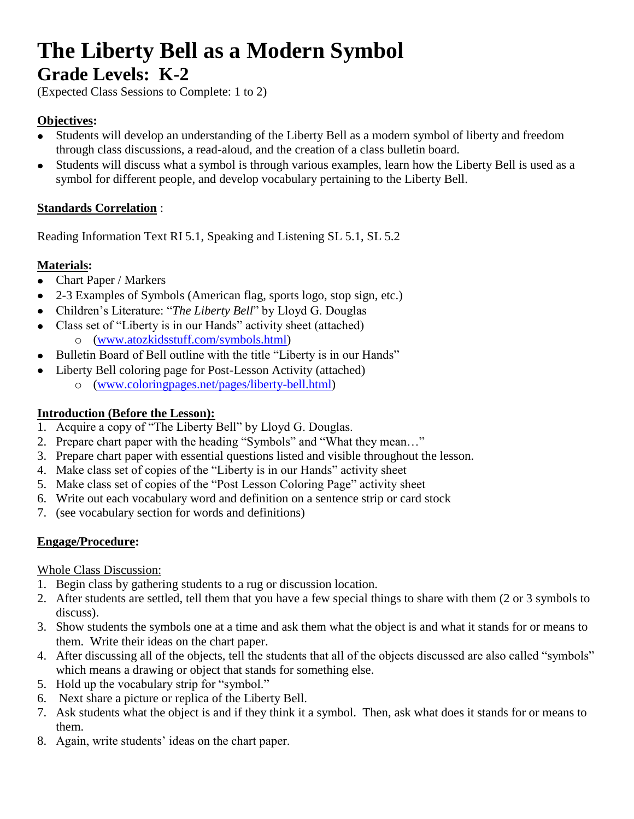# **The Liberty Bell as a Modern Symbol Grade Levels: K-2**

(Expected Class Sessions to Complete: 1 to 2)

#### **Objectives:**

- Students will develop an understanding of the Liberty Bell as a modern symbol of liberty and freedom through class discussions, a read-aloud, and the creation of a class bulletin board.
- Students will discuss what a symbol is through various examples, learn how the Liberty Bell is used as a  $\bullet$ symbol for different people, and develop vocabulary pertaining to the Liberty Bell.

#### **Standards Correlation** :

Reading Information Text RI 5.1, Speaking and Listening SL 5.1, SL 5.2

#### **Materials:**

 $\bullet$ 

- Chart Paper / Markers  $\bullet$
- 2-3 Examples of Symbols (American flag, sports logo, stop sign, etc.)  $\bullet$
- Children's Literature: "*The Liberty Bell*" by Lloyd G. Douglas
- Class set of "Liberty is in our Hands" activity sheet (attached)  $\bullet$ o [\(www.atozkidsstuff.com/symbols.html\)](http://www.atozkidsstuff.com/symbols.html)
- Bulletin Board of Bell outline with the title "Liberty is in our Hands"  $\bullet$ 
	- Liberty Bell coloring page for Post-Lesson Activity (attached)
		- o [\(www.coloringpages.net/pages/liberty-bell.html\)](http://www.coloringpages.net/pages/liberty-bell.html)

#### **Introduction (Before the Lesson):**

- 1. Acquire a copy of "The Liberty Bell" by Lloyd G. Douglas.
- 2. Prepare chart paper with the heading "Symbols" and "What they mean…"
- 3. Prepare chart paper with essential questions listed and visible throughout the lesson.
- 4. Make class set of copies of the "Liberty is in our Hands" activity sheet
- 5. Make class set of copies of the "Post Lesson Coloring Page" activity sheet
- 6. Write out each vocabulary word and definition on a sentence strip or card stock
- 7. (see vocabulary section for words and definitions)

#### **Engage/Procedure:**

Whole Class Discussion:

- 1. Begin class by gathering students to a rug or discussion location.
- 2. After students are settled, tell them that you have a few special things to share with them (2 or 3 symbols to discuss).
- 3. Show students the symbols one at a time and ask them what the object is and what it stands for or means to them. Write their ideas on the chart paper.
- 4. After discussing all of the objects, tell the students that all of the objects discussed are also called "symbols" which means a drawing or object that stands for something else.
- 5. Hold up the vocabulary strip for "symbol."
- 6. Next share a picture or replica of the Liberty Bell.
- 7. Ask students what the object is and if they think it a symbol. Then, ask what does it stands for or means to them.
- 8. Again, write students' ideas on the chart paper.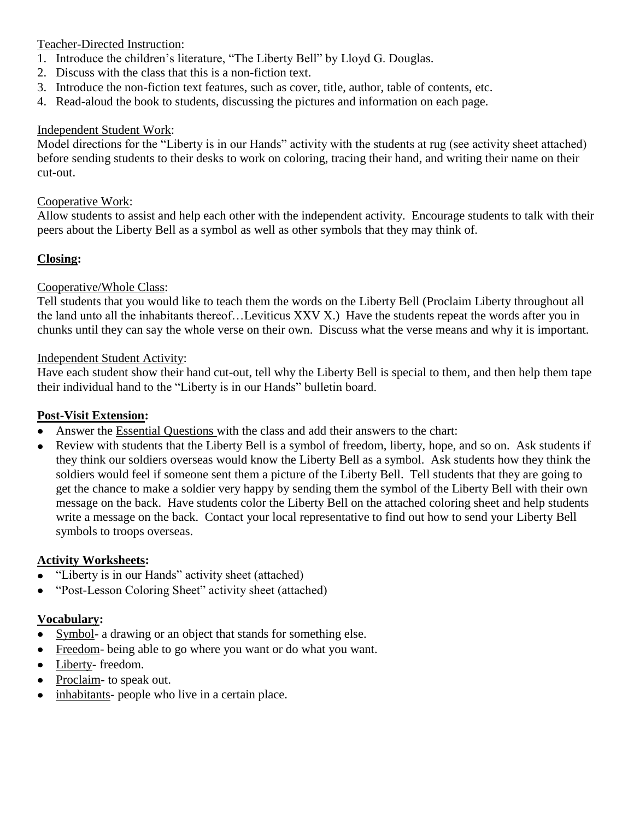#### Teacher-Directed Instruction:

- 1. Introduce the children's literature, "The Liberty Bell" by Lloyd G. Douglas.
- 2. Discuss with the class that this is a non-fiction text.
- 3. Introduce the non-fiction text features, such as cover, title, author, table of contents, etc.
- 4. Read-aloud the book to students, discussing the pictures and information on each page.

#### Independent Student Work:

Model directions for the "Liberty is in our Hands" activity with the students at rug (see activity sheet attached) before sending students to their desks to work on coloring, tracing their hand, and writing their name on their cut-out.

#### Cooperative Work:

Allow students to assist and help each other with the independent activity. Encourage students to talk with their peers about the Liberty Bell as a symbol as well as other symbols that they may think of.

#### **Closing:**

#### Cooperative/Whole Class:

Tell students that you would like to teach them the words on the Liberty Bell (Proclaim Liberty throughout all the land unto all the inhabitants thereof…Leviticus XXV X.) Have the students repeat the words after you in chunks until they can say the whole verse on their own. Discuss what the verse means and why it is important.

#### Independent Student Activity:

Have each student show their hand cut-out, tell why the Liberty Bell is special to them, and then help them tape their individual hand to the "Liberty is in our Hands" bulletin board.

#### **Post-Visit Extension:**

- $\bullet$ Answer the Essential Questions with the class and add their answers to the chart:
- Review with students that the Liberty Bell is a symbol of freedom, liberty, hope, and so on. Ask students if  $\bullet$ they think our soldiers overseas would know the Liberty Bell as a symbol. Ask students how they think the soldiers would feel if someone sent them a picture of the Liberty Bell. Tell students that they are going to get the chance to make a soldier very happy by sending them the symbol of the Liberty Bell with their own message on the back. Have students color the Liberty Bell on the attached coloring sheet and help students write a message on the back. Contact your local representative to find out how to send your Liberty Bell symbols to troops overseas.

#### **Activity Worksheets:**

- "Liberty is in our Hands" activity sheet (attached)  $\bullet$
- "Post-Lesson Coloring Sheet" activity sheet (attached)  $\bullet$

#### **Vocabulary:**

- Symbol- a drawing or an object that stands for something else.
- Freedom- being able to go where you want or do what you want.
- Liberty-freedom.
- Proclaim- to speak out.  $\bullet$
- inhabitants- people who live in a certain place. $\bullet$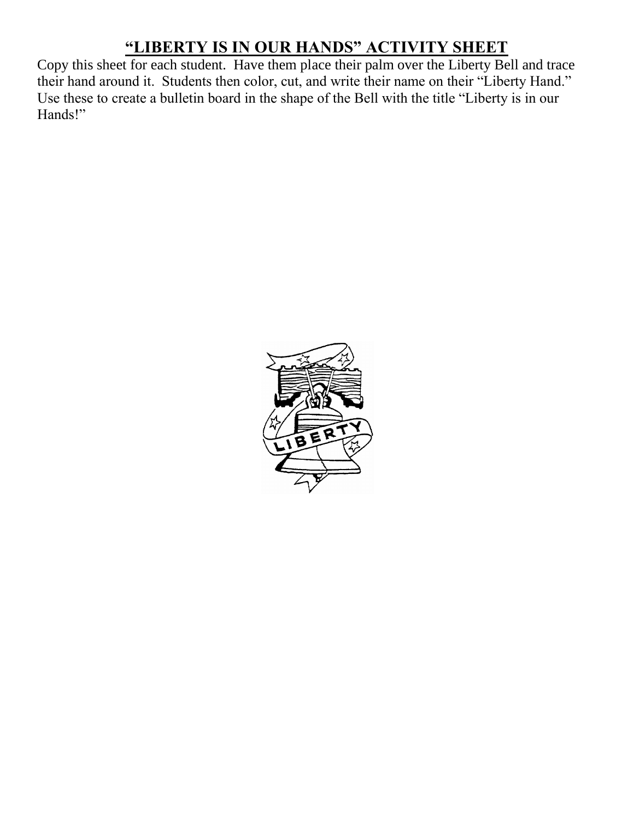## **"LIBERTY IS IN OUR HANDS" ACTIVITY SHEET**

Copy this sheet for each student. Have them place their palm over the Liberty Bell and trace their hand around it. Students then color, cut, and write their name on their "Liberty Hand." Use these to create a bulletin board in the shape of the Bell with the title "Liberty is in our Hands!"